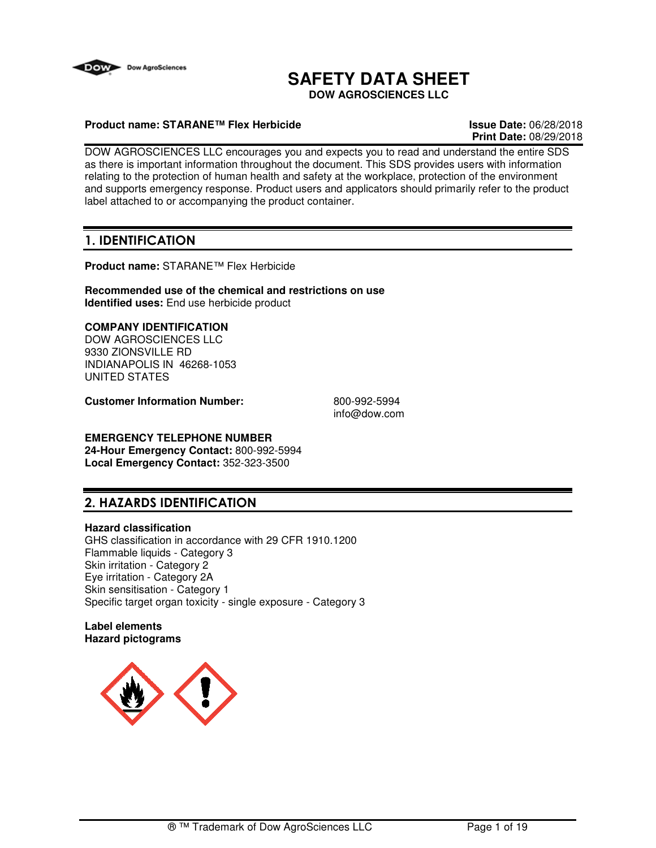

## **SAFETY DATA SHEET**

**DOW AGROSCIENCES LLC**

### **Product name: STARANE™ Flex Herbicide Issue Date:** 06/28/2018

# **Print Date:** 08/29/2018

DOW AGROSCIENCES LLC encourages you and expects you to read and understand the entire SDS as there is important information throughout the document. This SDS provides users with information relating to the protection of human health and safety at the workplace, protection of the environment and supports emergency response. Product users and applicators should primarily refer to the product label attached to or accompanying the product container.

## **1. IDENTIFICATION**

**Product name:** STARANE™ Flex Herbicide

**Recommended use of the chemical and restrictions on use Identified uses:** End use herbicide product

### **COMPANY IDENTIFICATION**

DOW AGROSCIENCES LLC 9330 ZIONSVILLE RD INDIANAPOLIS IN 46268-1053 UNITED STATES

**Customer Information Number:** 800-992-5994

info@dow.com

## **EMERGENCY TELEPHONE NUMBER**

**24-Hour Emergency Contact:** 800-992-5994 **Local Emergency Contact:** 352-323-3500

## **2. HAZARDS IDENTIFICATION**

### **Hazard classification**

GHS classification in accordance with 29 CFR 1910.1200 Flammable liquids - Category 3 Skin irritation - Category 2 Eye irritation - Category 2A Skin sensitisation - Category 1 Specific target organ toxicity - single exposure - Category 3

### **Label elements Hazard pictograms**

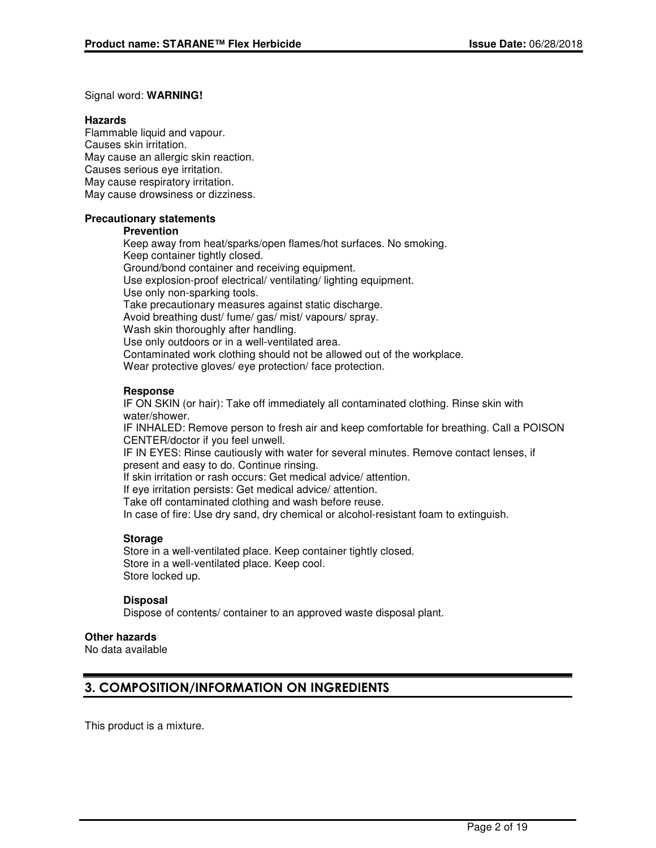### Signal word: **WARNING!**

### **Hazards**

Flammable liquid and vapour. Causes skin irritation. May cause an allergic skin reaction. Causes serious eye irritation. May cause respiratory irritation. May cause drowsiness or dizziness.

### **Precautionary statements**

### **Prevention**

Keep away from heat/sparks/open flames/hot surfaces. No smoking. Keep container tightly closed. Ground/bond container and receiving equipment. Use explosion-proof electrical/ ventilating/ lighting equipment. Use only non-sparking tools. Take precautionary measures against static discharge. Avoid breathing dust/ fume/ gas/ mist/ vapours/ spray. Wash skin thoroughly after handling. Use only outdoors or in a well-ventilated area. Contaminated work clothing should not be allowed out of the workplace. Wear protective gloves/ eye protection/ face protection.

### **Response**

IF ON SKIN (or hair): Take off immediately all contaminated clothing. Rinse skin with water/shower.

IF INHALED: Remove person to fresh air and keep comfortable for breathing. Call a POISON CENTER/doctor if you feel unwell.

IF IN EYES: Rinse cautiously with water for several minutes. Remove contact lenses, if present and easy to do. Continue rinsing.

If skin irritation or rash occurs: Get medical advice/ attention.

If eye irritation persists: Get medical advice/ attention.

Take off contaminated clothing and wash before reuse.

In case of fire: Use dry sand, dry chemical or alcohol-resistant foam to extinguish.

### **Storage**

Store in a well-ventilated place. Keep container tightly closed. Store in a well-ventilated place. Keep cool. Store locked up.

### **Disposal**

Dispose of contents/ container to an approved waste disposal plant.

## **Other hazards**

No data available

## **3. COMPOSITION/INFORMATION ON INGREDIENTS**

This product is a mixture.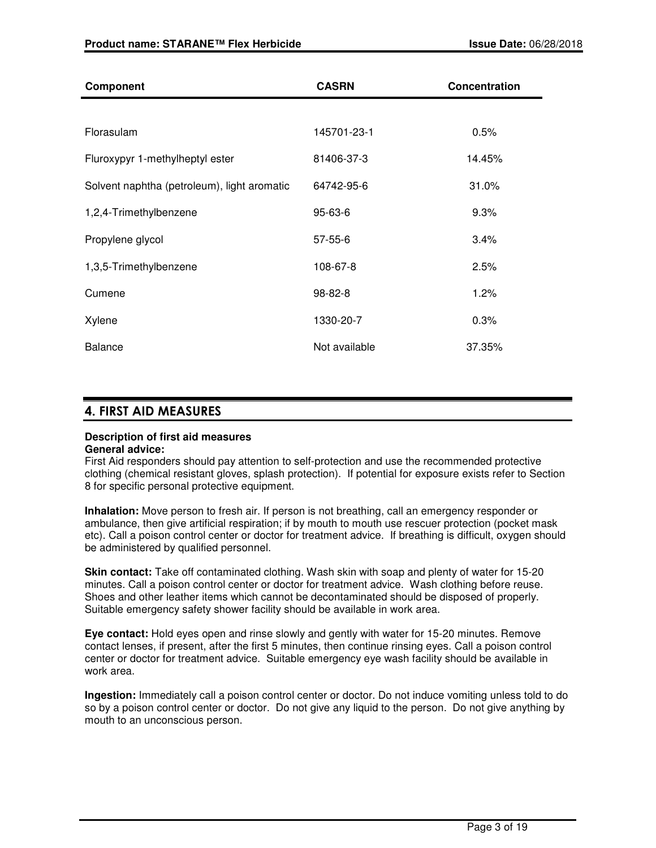| <b>Component</b>                            | <b>CASRN</b>  | Concentration |
|---------------------------------------------|---------------|---------------|
|                                             |               |               |
| Florasulam                                  | 145701-23-1   | 0.5%          |
| Fluroxypyr 1-methylheptyl ester             | 81406-37-3    | 14.45%        |
| Solvent naphtha (petroleum), light aromatic | 64742-95-6    | 31.0%         |
| 1,2,4-Trimethylbenzene                      | $95 - 63 - 6$ | 9.3%          |
| Propylene glycol                            | $57 - 55 - 6$ | 3.4%          |
| 1,3,5-Trimethylbenzene                      | 108-67-8      | 2.5%          |
| Cumene                                      | 98-82-8       | 1.2%          |
| Xylene                                      | 1330-20-7     | 0.3%          |
| <b>Balance</b>                              | Not available | 37.35%        |

## **4. FIRST AID MEASURES**

#### **Description of first aid measures General advice:**

First Aid responders should pay attention to self-protection and use the recommended protective clothing (chemical resistant gloves, splash protection). If potential for exposure exists refer to Section 8 for specific personal protective equipment.

**Inhalation:** Move person to fresh air. If person is not breathing, call an emergency responder or ambulance, then give artificial respiration; if by mouth to mouth use rescuer protection (pocket mask etc). Call a poison control center or doctor for treatment advice. If breathing is difficult, oxygen should be administered by qualified personnel.

**Skin contact:** Take off contaminated clothing. Wash skin with soap and plenty of water for 15-20 minutes. Call a poison control center or doctor for treatment advice. Wash clothing before reuse. Shoes and other leather items which cannot be decontaminated should be disposed of properly. Suitable emergency safety shower facility should be available in work area.

**Eye contact:** Hold eyes open and rinse slowly and gently with water for 15-20 minutes. Remove contact lenses, if present, after the first 5 minutes, then continue rinsing eyes. Call a poison control center or doctor for treatment advice. Suitable emergency eye wash facility should be available in work area.

**Ingestion:** Immediately call a poison control center or doctor. Do not induce vomiting unless told to do so by a poison control center or doctor. Do not give any liquid to the person. Do not give anything by mouth to an unconscious person.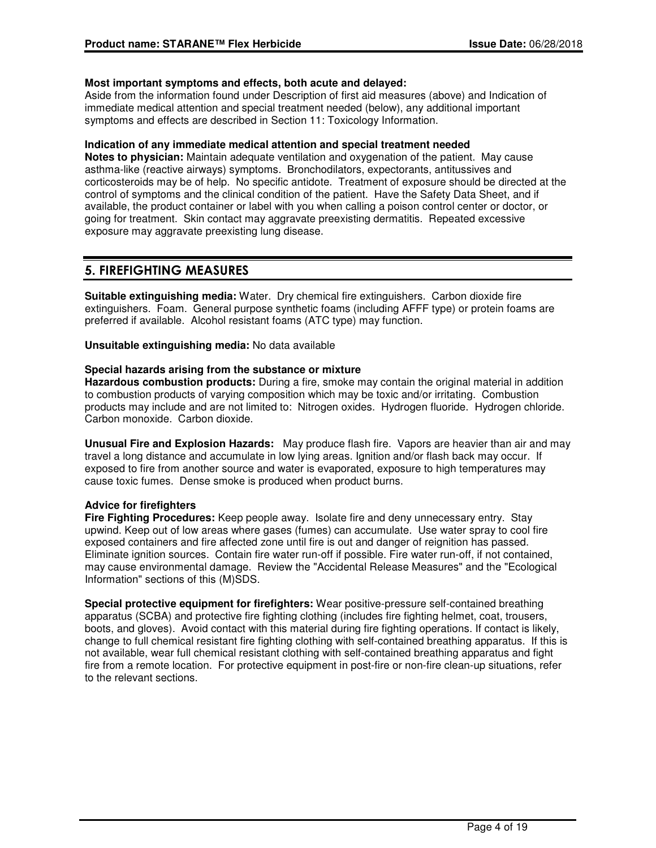### **Most important symptoms and effects, both acute and delayed:**

Aside from the information found under Description of first aid measures (above) and Indication of immediate medical attention and special treatment needed (below), any additional important symptoms and effects are described in Section 11: Toxicology Information.

### **Indication of any immediate medical attention and special treatment needed**

**Notes to physician:** Maintain adequate ventilation and oxygenation of the patient. May cause asthma-like (reactive airways) symptoms. Bronchodilators, expectorants, antitussives and corticosteroids may be of help. No specific antidote. Treatment of exposure should be directed at the control of symptoms and the clinical condition of the patient. Have the Safety Data Sheet, and if available, the product container or label with you when calling a poison control center or doctor, or going for treatment. Skin contact may aggravate preexisting dermatitis. Repeated excessive exposure may aggravate preexisting lung disease.

## **5. FIREFIGHTING MEASURES**

**Suitable extinguishing media:** Water. Dry chemical fire extinguishers. Carbon dioxide fire extinguishers. Foam. General purpose synthetic foams (including AFFF type) or protein foams are preferred if available. Alcohol resistant foams (ATC type) may function.

**Unsuitable extinguishing media:** No data available

### **Special hazards arising from the substance or mixture**

**Hazardous combustion products:** During a fire, smoke may contain the original material in addition to combustion products of varying composition which may be toxic and/or irritating. Combustion products may include and are not limited to: Nitrogen oxides. Hydrogen fluoride. Hydrogen chloride. Carbon monoxide. Carbon dioxide.

**Unusual Fire and Explosion Hazards:** May produce flash fire. Vapors are heavier than air and may travel a long distance and accumulate in low lying areas. Ignition and/or flash back may occur. If exposed to fire from another source and water is evaporated, exposure to high temperatures may cause toxic fumes. Dense smoke is produced when product burns.

### **Advice for firefighters**

**Fire Fighting Procedures:** Keep people away. Isolate fire and deny unnecessary entry. Stay upwind. Keep out of low areas where gases (fumes) can accumulate. Use water spray to cool fire exposed containers and fire affected zone until fire is out and danger of reignition has passed. Eliminate ignition sources. Contain fire water run-off if possible. Fire water run-off, if not contained, may cause environmental damage. Review the "Accidental Release Measures" and the "Ecological Information" sections of this (M)SDS.

**Special protective equipment for firefighters:** Wear positive-pressure self-contained breathing apparatus (SCBA) and protective fire fighting clothing (includes fire fighting helmet, coat, trousers, boots, and gloves). Avoid contact with this material during fire fighting operations. If contact is likely, change to full chemical resistant fire fighting clothing with self-contained breathing apparatus. If this is not available, wear full chemical resistant clothing with self-contained breathing apparatus and fight fire from a remote location. For protective equipment in post-fire or non-fire clean-up situations, refer to the relevant sections.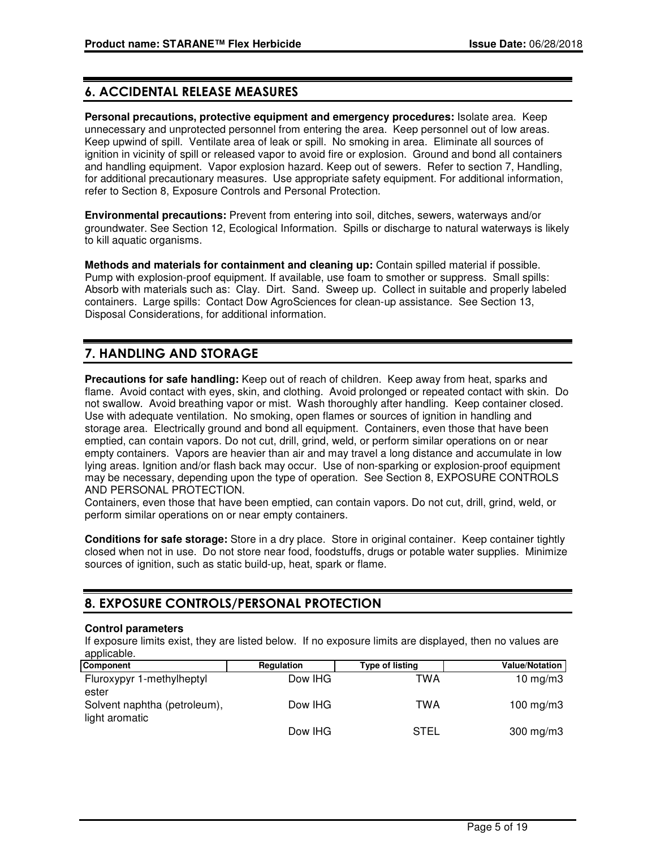## **6. ACCIDENTAL RELEASE MEASURES**

**Personal precautions, protective equipment and emergency procedures:** Isolate area. Keep unnecessary and unprotected personnel from entering the area. Keep personnel out of low areas. Keep upwind of spill. Ventilate area of leak or spill. No smoking in area. Eliminate all sources of ignition in vicinity of spill or released vapor to avoid fire or explosion. Ground and bond all containers and handling equipment. Vapor explosion hazard. Keep out of sewers. Refer to section 7, Handling, for additional precautionary measures. Use appropriate safety equipment. For additional information, refer to Section 8, Exposure Controls and Personal Protection.

**Environmental precautions:** Prevent from entering into soil, ditches, sewers, waterways and/or groundwater. See Section 12, Ecological Information. Spills or discharge to natural waterways is likely to kill aquatic organisms.

**Methods and materials for containment and cleaning up:** Contain spilled material if possible. Pump with explosion-proof equipment. If available, use foam to smother or suppress. Small spills: Absorb with materials such as: Clay. Dirt. Sand. Sweep up. Collect in suitable and properly labeled containers. Large spills: Contact Dow AgroSciences for clean-up assistance. See Section 13, Disposal Considerations, for additional information.

## **7. HANDLING AND STORAGE**

**Precautions for safe handling:** Keep out of reach of children. Keep away from heat, sparks and flame. Avoid contact with eyes, skin, and clothing. Avoid prolonged or repeated contact with skin. Do not swallow. Avoid breathing vapor or mist. Wash thoroughly after handling. Keep container closed. Use with adequate ventilation. No smoking, open flames or sources of ignition in handling and storage area. Electrically ground and bond all equipment. Containers, even those that have been emptied, can contain vapors. Do not cut, drill, grind, weld, or perform similar operations on or near empty containers. Vapors are heavier than air and may travel a long distance and accumulate in low lying areas. Ignition and/or flash back may occur. Use of non-sparking or explosion-proof equipment may be necessary, depending upon the type of operation. See Section 8, EXPOSURE CONTROLS AND PERSONAL PROTECTION.

Containers, even those that have been emptied, can contain vapors. Do not cut, drill, grind, weld, or perform similar operations on or near empty containers.

**Conditions for safe storage:** Store in a dry place. Store in original container. Keep container tightly closed when not in use. Do not store near food, foodstuffs, drugs or potable water supplies. Minimize sources of ignition, such as static build-up, heat, spark or flame.

## **8. EXPOSURE CONTROLS/PERSONAL PROTECTION**

### **Control parameters**

If exposure limits exist, they are listed below. If no exposure limits are displayed, then no values are applicable.

| Component                                      | <b>Regulation</b> | Type of listing | <b>Value/Notation</b> |
|------------------------------------------------|-------------------|-----------------|-----------------------|
| Fluroxypyr 1-methylheptyl<br>ester             | Dow IHG           | TWA             | 10 $mg/m3$            |
| Solvent naphtha (petroleum),<br>light aromatic | Dow IHG           | TWA             | 100 mg/m $3$          |
|                                                | Dow IHG           | STEL            | $300$ mg/m $3$        |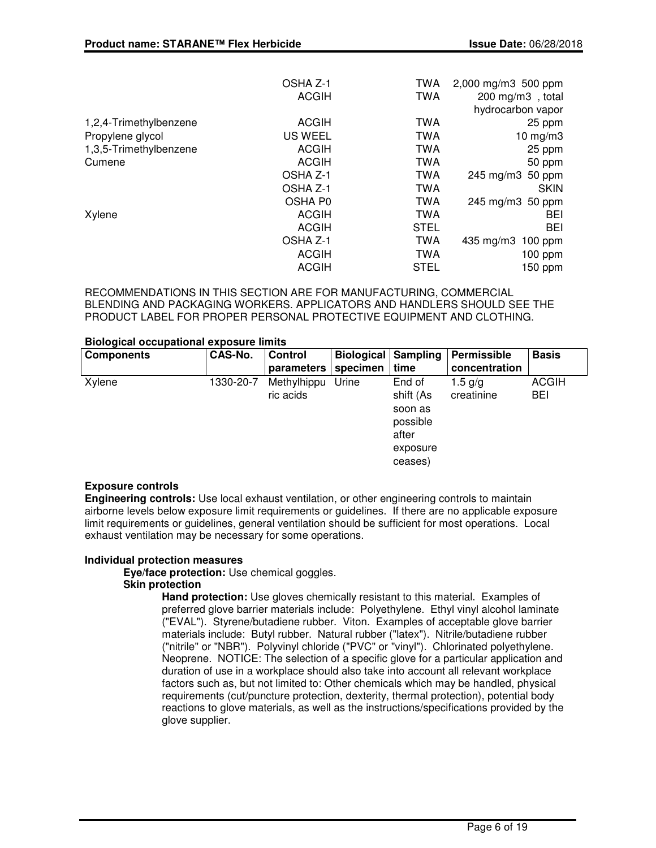|                        | OSHA Z-1     | <b>TWA</b>  | $2,000 \,\mathrm{mg/m}$ 500 ppm |
|------------------------|--------------|-------------|---------------------------------|
|                        | <b>ACGIH</b> | <b>TWA</b>  | 200 mg/m3, total                |
|                        |              |             | hydrocarbon vapor               |
| 1,2,4-Trimethylbenzene | <b>ACGIH</b> | <b>TWA</b>  | 25 ppm                          |
| Propylene glycol       | US WEEL      | <b>TWA</b>  | 10 mg/m $3$                     |
| 1,3,5-Trimethylbenzene | <b>ACGIH</b> | <b>TWA</b>  | 25 ppm                          |
| Cumene                 | <b>ACGIH</b> | <b>TWA</b>  | 50 ppm                          |
|                        | OSHA Z-1     | <b>TWA</b>  | 245 mg/m3 50 ppm                |
|                        | OSHA Z-1     | <b>TWA</b>  | <b>SKIN</b>                     |
|                        | OSHA P0      | <b>TWA</b>  | 245 mg/m3 50 ppm                |
| Xylene                 | <b>ACGIH</b> | <b>TWA</b>  | <b>BEI</b>                      |
|                        | <b>ACGIH</b> | <b>STEL</b> | BEI                             |
|                        | OSHA Z-1     | <b>TWA</b>  | $435 \text{ mg/m}$<br>$100$ ppm |
|                        | <b>ACGIH</b> | <b>TWA</b>  | $100$ ppm                       |
|                        | <b>ACGIH</b> | <b>STEL</b> | 150 ppm                         |
|                        |              |             |                                 |

RECOMMENDATIONS IN THIS SECTION ARE FOR MANUFACTURING, COMMERCIAL BLENDING AND PACKAGING WORKERS. APPLICATORS AND HANDLERS SHOULD SEE THE PRODUCT LABEL FOR PROPER PERSONAL PROTECTIVE EQUIPMENT AND CLOTHING.

### **Biological occupational exposure limits**

| CAS-No.   | <b>Control</b>           |          |                                                                 | Permissible                           | <b>Basis</b>        |
|-----------|--------------------------|----------|-----------------------------------------------------------------|---------------------------------------|---------------------|
|           | parameters               | specimen | time                                                            | concentration                         |                     |
| 1330-20-7 | Methylhippu<br>ric acids | Urine    | End of<br>shift (As<br>soon as<br>possible<br>after<br>exposure | 1.5 $g/g$<br>creatinine               | <b>ACGIH</b><br>BEI |
|           |                          |          |                                                                 | <b>Biological Sampling</b><br>ceases) |                     |

### **Exposure controls**

**Engineering controls:** Use local exhaust ventilation, or other engineering controls to maintain airborne levels below exposure limit requirements or guidelines. If there are no applicable exposure limit requirements or guidelines, general ventilation should be sufficient for most operations. Local exhaust ventilation may be necessary for some operations.

### **Individual protection measures**

**Eye/face protection:** Use chemical goggles.

### **Skin protection**

**Hand protection:** Use gloves chemically resistant to this material. Examples of preferred glove barrier materials include: Polyethylene. Ethyl vinyl alcohol laminate ("EVAL"). Styrene/butadiene rubber. Viton. Examples of acceptable glove barrier materials include: Butyl rubber. Natural rubber ("latex"). Nitrile/butadiene rubber ("nitrile" or "NBR"). Polyvinyl chloride ("PVC" or "vinyl"). Chlorinated polyethylene. Neoprene. NOTICE: The selection of a specific glove for a particular application and duration of use in a workplace should also take into account all relevant workplace factors such as, but not limited to: Other chemicals which may be handled, physical requirements (cut/puncture protection, dexterity, thermal protection), potential body reactions to glove materials, as well as the instructions/specifications provided by the glove supplier.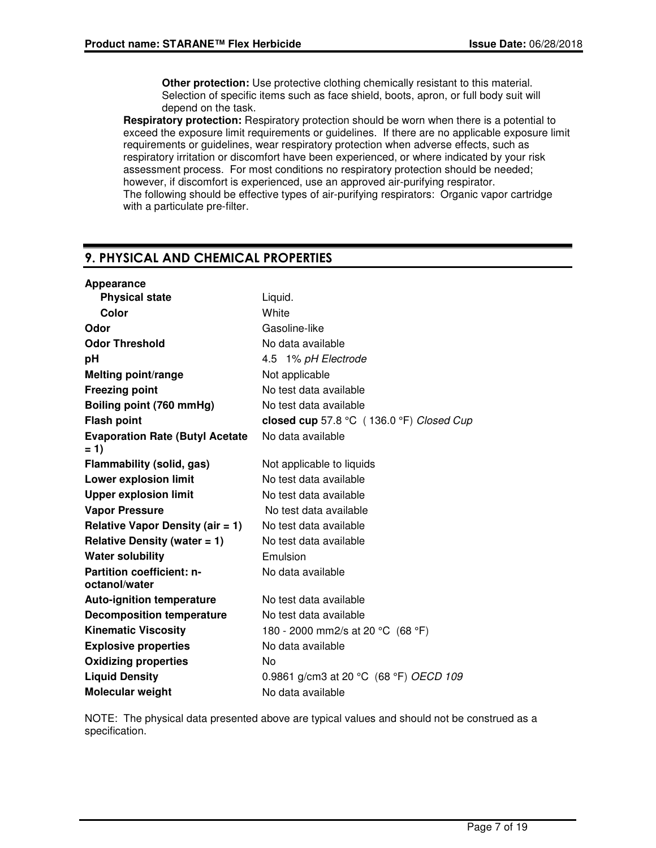**Other protection:** Use protective clothing chemically resistant to this material. Selection of specific items such as face shield, boots, apron, or full body suit will depend on the task.

**Respiratory protection:** Respiratory protection should be worn when there is a potential to exceed the exposure limit requirements or guidelines. If there are no applicable exposure limit requirements or guidelines, wear respiratory protection when adverse effects, such as respiratory irritation or discomfort have been experienced, or where indicated by your risk assessment process. For most conditions no respiratory protection should be needed; however, if discomfort is experienced, use an approved air-purifying respirator. The following should be effective types of air-purifying respirators: Organic vapor cartridge with a particulate pre-filter.

## **9. PHYSICAL AND CHEMICAL PROPERTIES**

| Appearance                                        |                                          |
|---------------------------------------------------|------------------------------------------|
| <b>Physical state</b>                             | Liquid.                                  |
| Color                                             | White                                    |
| Odor                                              | Gasoline-like                            |
| <b>Odor Threshold</b>                             | No data available                        |
| рH                                                | 4.5 1% pH Electrode                      |
| <b>Melting point/range</b>                        | Not applicable                           |
| <b>Freezing point</b>                             | No test data available                   |
| Boiling point (760 mmHg)                          | No test data available                   |
| <b>Flash point</b>                                | closed cup 57.8 °C (136.0 °F) Closed Cup |
| <b>Evaporation Rate (Butyl Acetate)</b><br>$= 1$  | No data available                        |
| Flammability (solid, gas)                         | Not applicable to liquids                |
| <b>Lower explosion limit</b>                      | No test data available                   |
| <b>Upper explosion limit</b>                      | No test data available                   |
| <b>Vapor Pressure</b>                             | No test data available                   |
| Relative Vapor Density (air $= 1$ )               | No test data available                   |
| Relative Density (water $= 1$ )                   | No test data available                   |
| <b>Water solubility</b>                           | Emulsion                                 |
| <b>Partition coefficient: n-</b><br>octanol/water | No data available                        |
| <b>Auto-ignition temperature</b>                  | No test data available                   |
| <b>Decomposition temperature</b>                  | No test data available                   |
| <b>Kinematic Viscosity</b>                        | 180 - 2000 mm2/s at 20 °C (68 °F)        |
| <b>Explosive properties</b>                       | No data available                        |
| <b>Oxidizing properties</b>                       | No                                       |
| <b>Liquid Density</b>                             | 0.9861 g/cm3 at 20 °C (68 °F) OECD 109   |
| Molecular weight                                  | No data available                        |

NOTE: The physical data presented above are typical values and should not be construed as a specification.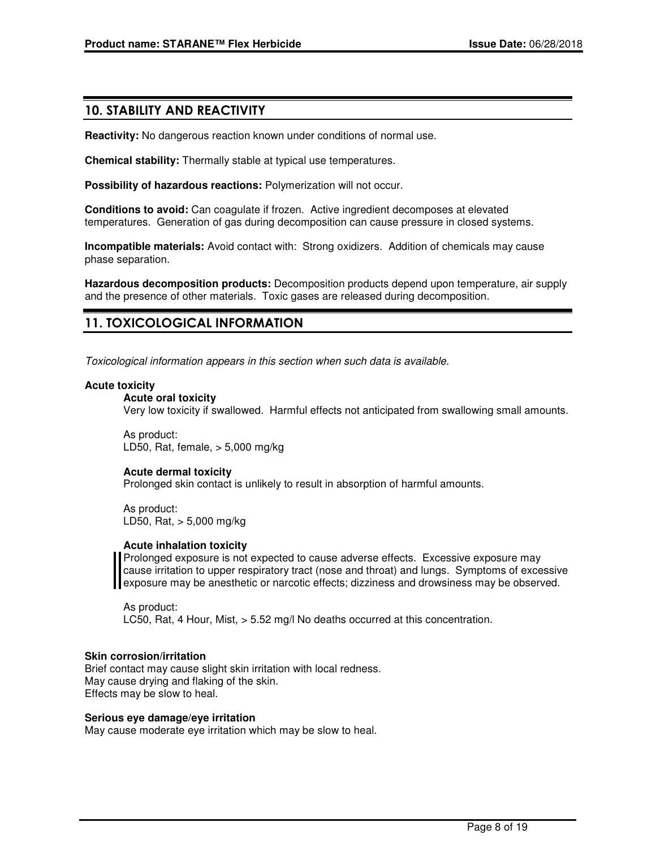## **10. STABILITY AND REACTIVITY**

**Reactivity:** No dangerous reaction known under conditions of normal use.

**Chemical stability:** Thermally stable at typical use temperatures.

**Possibility of hazardous reactions:** Polymerization will not occur.

**Conditions to avoid:** Can coagulate if frozen. Active ingredient decomposes at elevated temperatures. Generation of gas during decomposition can cause pressure in closed systems.

**Incompatible materials:** Avoid contact with: Strong oxidizers. Addition of chemicals may cause phase separation.

**Hazardous decomposition products:** Decomposition products depend upon temperature, air supply and the presence of other materials. Toxic gases are released during decomposition.

## **11. TOXICOLOGICAL INFORMATION**

Toxicological information appears in this section when such data is available.

### **Acute toxicity**

### **Acute oral toxicity**

Very low toxicity if swallowed. Harmful effects not anticipated from swallowing small amounts.

As product: LD50, Rat, female, > 5,000 mg/kg

### **Acute dermal toxicity**

Prolonged skin contact is unlikely to result in absorption of harmful amounts.

As product: LD50, Rat, > 5,000 mg/kg

### **Acute inhalation toxicity**

Prolonged exposure is not expected to cause adverse effects. Excessive exposure may cause irritation to upper respiratory tract (nose and throat) and lungs. Symptoms of excessive exposure may be anesthetic or narcotic effects; dizziness and drowsiness may be observed.

As product: LC50, Rat, 4 Hour, Mist, > 5.52 mg/l No deaths occurred at this concentration.

### **Skin corrosion/irritation**

Brief contact may cause slight skin irritation with local redness. May cause drying and flaking of the skin. Effects may be slow to heal.

### **Serious eye damage/eye irritation**

May cause moderate eye irritation which may be slow to heal.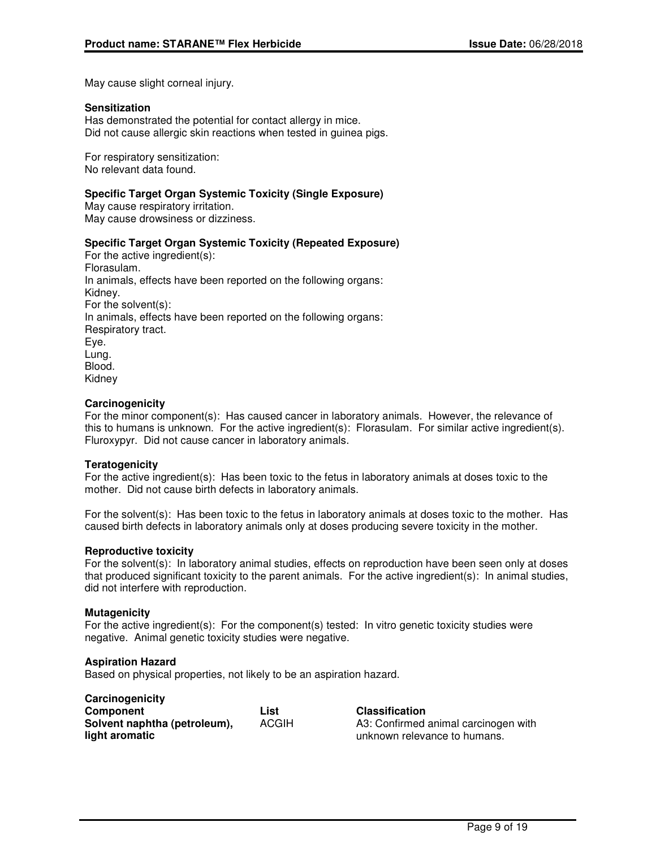May cause slight corneal injury.

### **Sensitization**

Has demonstrated the potential for contact allergy in mice. Did not cause allergic skin reactions when tested in guinea pigs.

For respiratory sensitization: No relevant data found.

### **Specific Target Organ Systemic Toxicity (Single Exposure)**

May cause respiratory irritation. May cause drowsiness or dizziness.

### **Specific Target Organ Systemic Toxicity (Repeated Exposure)**

For the active ingredient(s): Florasulam. In animals, effects have been reported on the following organs: Kidney. For the solvent(s): In animals, effects have been reported on the following organs: Respiratory tract. Eye. Lung. Blood. Kidney

### **Carcinogenicity**

For the minor component(s): Has caused cancer in laboratory animals. However, the relevance of this to humans is unknown. For the active ingredient(s): Florasulam. For similar active ingredient(s). Fluroxypyr. Did not cause cancer in laboratory animals.

### **Teratogenicity**

For the active ingredient(s): Has been toxic to the fetus in laboratory animals at doses toxic to the mother. Did not cause birth defects in laboratory animals.

For the solvent(s): Has been toxic to the fetus in laboratory animals at doses toxic to the mother. Has caused birth defects in laboratory animals only at doses producing severe toxicity in the mother.

### **Reproductive toxicity**

For the solvent(s): In laboratory animal studies, effects on reproduction have been seen only at doses that produced significant toxicity to the parent animals. For the active ingredient(s): In animal studies, did not interfere with reproduction.

### **Mutagenicity**

For the active ingredient(s): For the component(s) tested: In vitro genetic toxicity studies were negative. Animal genetic toxicity studies were negative.

### **Aspiration Hazard**

Based on physical properties, not likely to be an aspiration hazard.

| Carcinogenicity              |              |                                      |
|------------------------------|--------------|--------------------------------------|
| <b>Component</b>             | List         | <b>Classification</b>                |
| Solvent naphtha (petroleum), | <b>ACGIH</b> | A3: Confirmed animal carcinogen with |
| light aromatic               |              | unknown relevance to humans.         |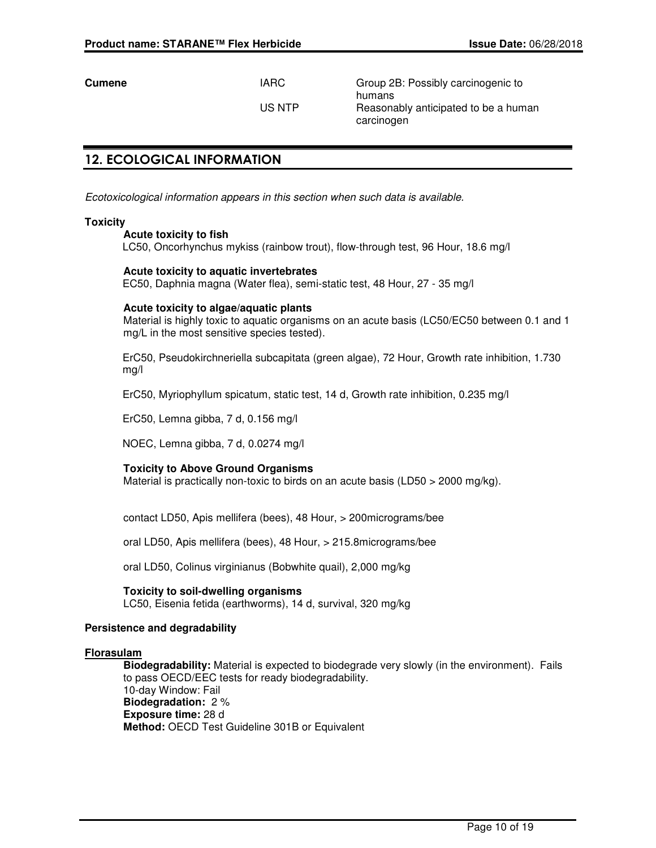**Cumene IARC** Group 2B: Possibly carcinogenic to humans US NTP Reasonably anticipated to be a human carcinogen

## **12. ECOLOGICAL INFORMATION**

Ecotoxicological information appears in this section when such data is available.

### **Toxicity**

### **Acute toxicity to fish**

LC50, Oncorhynchus mykiss (rainbow trout), flow-through test, 96 Hour, 18.6 mg/l

### **Acute toxicity to aquatic invertebrates**

EC50, Daphnia magna (Water flea), semi-static test, 48 Hour, 27 - 35 mg/l

### **Acute toxicity to algae/aquatic plants**

Material is highly toxic to aquatic organisms on an acute basis (LC50/EC50 between 0.1 and 1 mg/L in the most sensitive species tested).

ErC50, Pseudokirchneriella subcapitata (green algae), 72 Hour, Growth rate inhibition, 1.730 mg/l

ErC50, Myriophyllum spicatum, static test, 14 d, Growth rate inhibition, 0.235 mg/l

ErC50, Lemna gibba, 7 d, 0.156 mg/l

NOEC, Lemna gibba, 7 d, 0.0274 mg/l

### **Toxicity to Above Ground Organisms**

Material is practically non-toxic to birds on an acute basis (LD50  $>$  2000 mg/kg).

contact LD50, Apis mellifera (bees), 48 Hour, > 200micrograms/bee

oral LD50, Apis mellifera (bees), 48 Hour, > 215.8micrograms/bee

oral LD50, Colinus virginianus (Bobwhite quail), 2,000 mg/kg

### **Toxicity to soil-dwelling organisms**

LC50, Eisenia fetida (earthworms), 14 d, survival, 320 mg/kg

#### **Persistence and degradability**

#### **Florasulam**

**Biodegradability:** Material is expected to biodegrade very slowly (in the environment). Fails to pass OECD/EEC tests for ready biodegradability. 10-day Window: Fail **Biodegradation:** 2 % **Exposure time:** 28 d **Method:** OECD Test Guideline 301B or Equivalent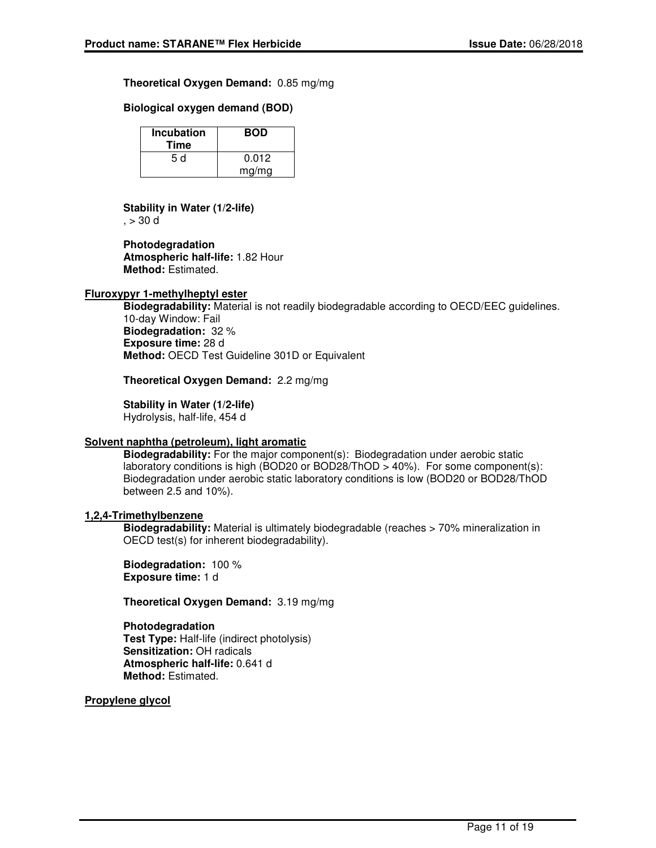### **Theoretical Oxygen Demand:** 0.85 mg/mg

### **Biological oxygen demand (BOD)**

| <b>Incubation</b><br>Time | <b>BOD</b> |
|---------------------------|------------|
| 5 d                       | 0.012      |
|                           | mg/mg      |

## **Stability in Water (1/2-life)**

 $, > 30$  d

**Photodegradation Atmospheric half-life:** 1.82 Hour **Method:** Estimated.

### **Fluroxypyr 1-methylheptyl ester**

**Biodegradability:** Material is not readily biodegradable according to OECD/EEC guidelines. 10-day Window: Fail **Biodegradation:** 32 % **Exposure time:** 28 d **Method:** OECD Test Guideline 301D or Equivalent

**Theoretical Oxygen Demand:** 2.2 mg/mg

**Stability in Water (1/2-life)** Hydrolysis, half-life, 454 d

### **Solvent naphtha (petroleum), light aromatic**

**Biodegradability:** For the major component(s): Biodegradation under aerobic static laboratory conditions is high (BOD20 or BOD28/ThOD > 40%). For some component(s): Biodegradation under aerobic static laboratory conditions is low (BOD20 or BOD28/ThOD between 2.5 and 10%).

### **1,2,4-Trimethylbenzene**

**Biodegradability:** Material is ultimately biodegradable (reaches > 70% mineralization in OECD test(s) for inherent biodegradability).

**Biodegradation:** 100 % **Exposure time:** 1 d

**Theoretical Oxygen Demand:** 3.19 mg/mg

### **Photodegradation**

**Test Type:** Half-life (indirect photolysis) **Sensitization:** OH radicals **Atmospheric half-life:** 0.641 d **Method:** Estimated.

**Propylene glycol**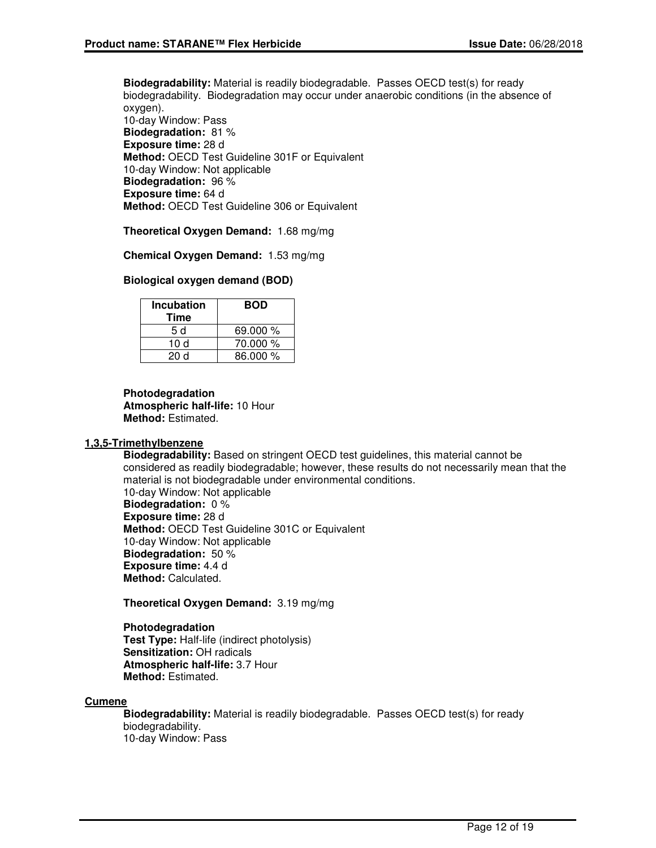**Biodegradability:** Material is readily biodegradable. Passes OECD test(s) for ready biodegradability. Biodegradation may occur under anaerobic conditions (in the absence of oxygen). 10-day Window: Pass **Biodegradation:** 81 % **Exposure time:** 28 d **Method:** OECD Test Guideline 301F or Equivalent 10-day Window: Not applicable **Biodegradation:** 96 % **Exposure time:** 64 d

**Method:** OECD Test Guideline 306 or Equivalent

**Theoretical Oxygen Demand:** 1.68 mg/mg

**Chemical Oxygen Demand:** 1.53 mg/mg

### **Biological oxygen demand (BOD)**

| <b>Incubation</b><br>Time | <b>BOD</b> |
|---------------------------|------------|
| 5 d                       | 69.000 %   |
| 10 d                      | 70.000 %   |
| 20 d                      | 86.000 %   |

**Photodegradation Atmospheric half-life:** 10 Hour **Method:** Estimated.

### **1,3,5-Trimethylbenzene**

**Biodegradability:** Based on stringent OECD test guidelines, this material cannot be considered as readily biodegradable; however, these results do not necessarily mean that the material is not biodegradable under environmental conditions. 10-day Window: Not applicable **Biodegradation:** 0 % **Exposure time:** 28 d **Method:** OECD Test Guideline 301C or Equivalent 10-day Window: Not applicable **Biodegradation:** 50 % **Exposure time:** 4.4 d **Method:** Calculated.

### **Theoretical Oxygen Demand:** 3.19 mg/mg

**Photodegradation Test Type:** Half-life (indirect photolysis) **Sensitization:** OH radicals **Atmospheric half-life:** 3.7 Hour **Method:** Estimated.

### **Cumene**

**Biodegradability:** Material is readily biodegradable. Passes OECD test(s) for ready biodegradability. 10-day Window: Pass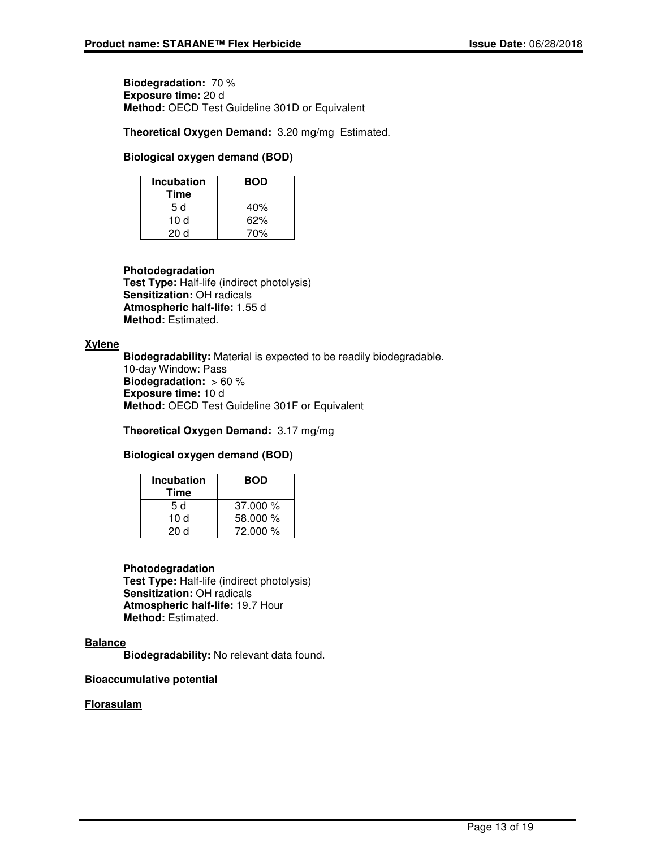**Biodegradation:** 70 % **Exposure time:** 20 d **Method:** OECD Test Guideline 301D or Equivalent

**Theoretical Oxygen Demand:** 3.20 mg/mg Estimated.

### **Biological oxygen demand (BOD)**

| Incubation<br><b>Time</b> | <b>BOD</b> |
|---------------------------|------------|
| 5 d                       | 40%        |
| 10 d                      | 62%        |
| 20d                       | 70%        |

### **Photodegradation**

**Test Type:** Half-life (indirect photolysis) **Sensitization:** OH radicals **Atmospheric half-life:** 1.55 d **Method:** Estimated.

### **Xylene**

**Biodegradability:** Material is expected to be readily biodegradable. 10-day Window: Pass **Biodegradation:** > 60 % **Exposure time:** 10 d **Method:** OECD Test Guideline 301F or Equivalent

**Theoretical Oxygen Demand:** 3.17 mg/mg

### **Biological oxygen demand (BOD)**

| <b>Incubation</b><br>Time | <b>BOD</b> |
|---------------------------|------------|
| 5 d                       | 37.000%    |
| 10 d                      | 58.000 %   |
| 20d                       | 72.000 %   |

### **Photodegradation**

**Test Type:** Half-life (indirect photolysis) **Sensitization:** OH radicals **Atmospheric half-life:** 19.7 Hour **Method:** Estimated.

### **Balance**

**Biodegradability:** No relevant data found.

### **Bioaccumulative potential**

### **Florasulam**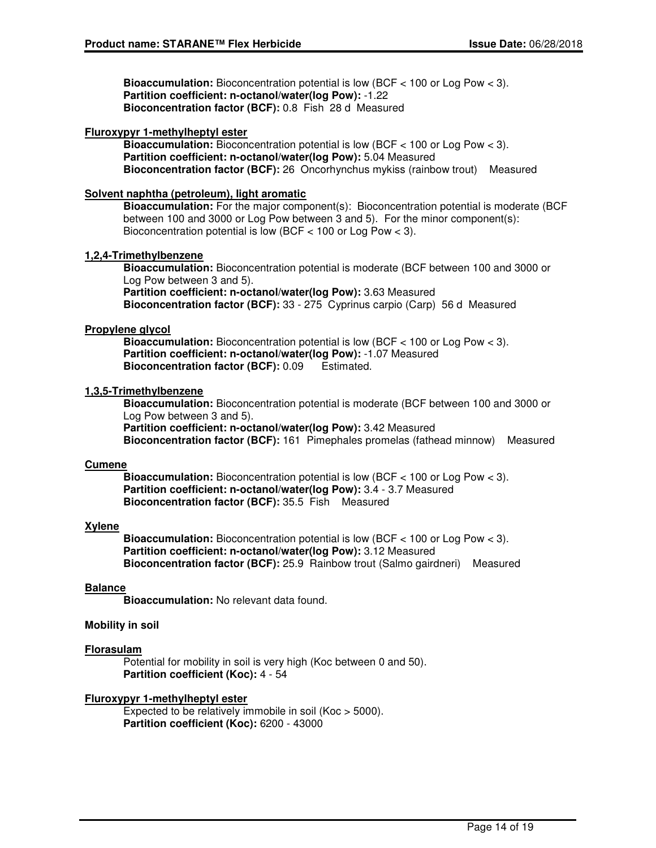**Bioaccumulation:** Bioconcentration potential is low (BCF < 100 or Log Pow < 3). **Partition coefficient: n-octanol/water(log Pow):** -1.22 **Bioconcentration factor (BCF):** 0.8 Fish 28 d Measured

### **Fluroxypyr 1-methylheptyl ester**

**Bioaccumulation:** Bioconcentration potential is low (BCF < 100 or Log Pow < 3). **Partition coefficient: n-octanol/water(log Pow):** 5.04 Measured **Bioconcentration factor (BCF):** 26 Oncorhynchus mykiss (rainbow trout) Measured

### **Solvent naphtha (petroleum), light aromatic**

**Bioaccumulation:** For the major component(s): Bioconcentration potential is moderate (BCF between 100 and 3000 or Log Pow between 3 and 5). For the minor component(s): Bioconcentration potential is low (BCF < 100 or Log Pow < 3).

### **1,2,4-Trimethylbenzene**

**Bioaccumulation:** Bioconcentration potential is moderate (BCF between 100 and 3000 or Log Pow between 3 and 5). **Partition coefficient: n-octanol/water(log Pow):** 3.63 Measured **Bioconcentration factor (BCF):** 33 - 275 Cyprinus carpio (Carp) 56 d Measured

### **Propylene glycol**

**Bioaccumulation:** Bioconcentration potential is low (BCF < 100 or Log Pow < 3). **Partition coefficient: n-octanol/water(log Pow):** -1.07 Measured **Bioconcentration factor (BCF):** 0.09 Estimated.

### **1,3,5-Trimethylbenzene**

**Bioaccumulation:** Bioconcentration potential is moderate (BCF between 100 and 3000 or Log Pow between 3 and 5).

**Partition coefficient: n-octanol/water(log Pow):** 3.42 Measured **Bioconcentration factor (BCF):** 161 Pimephales promelas (fathead minnow) Measured

### **Cumene**

**Bioaccumulation:** Bioconcentration potential is low (BCF < 100 or Log Pow < 3). **Partition coefficient: n-octanol/water(log Pow):** 3.4 - 3.7 Measured **Bioconcentration factor (BCF):** 35.5 Fish Measured

### **Xylene**

**Bioaccumulation:** Bioconcentration potential is low (BCF < 100 or Log Pow < 3). **Partition coefficient: n-octanol/water(log Pow):** 3.12 Measured **Bioconcentration factor (BCF):** 25.9 Rainbow trout (Salmo gairdneri) Measured

### **Balance**

**Bioaccumulation:** No relevant data found.

### **Mobility in soil**

### **Florasulam**

Potential for mobility in soil is very high (Koc between 0 and 50). **Partition coefficient (Koc):** 4 - 54

### **Fluroxypyr 1-methylheptyl ester**

Expected to be relatively immobile in soil (Koc > 5000). **Partition coefficient (Koc):** 6200 - 43000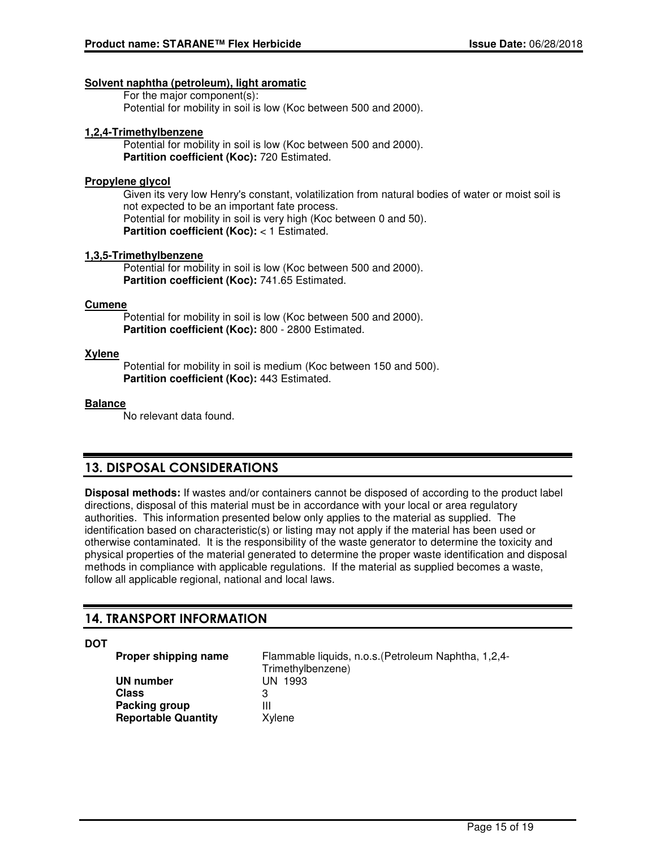### **Solvent naphtha (petroleum), light aromatic**

For the major component(s): Potential for mobility in soil is low (Koc between 500 and 2000).

### **1,2,4-Trimethylbenzene**

Potential for mobility in soil is low (Koc between 500 and 2000). **Partition coefficient (Koc):** 720 Estimated.

### **Propylene glycol**

Given its very low Henry's constant, volatilization from natural bodies of water or moist soil is not expected to be an important fate process. Potential for mobility in soil is very high (Koc between 0 and 50). **Partition coefficient (Koc):** < 1 Estimated.

### **1,3,5-Trimethylbenzene**

Potential for mobility in soil is low (Koc between 500 and 2000). **Partition coefficient (Koc):** 741.65 Estimated.

### **Cumene**

Potential for mobility in soil is low (Koc between 500 and 2000). **Partition coefficient (Koc):** 800 - 2800 Estimated.

### **Xylene**

Potential for mobility in soil is medium (Koc between 150 and 500). **Partition coefficient (Koc):** 443 Estimated.

### **Balance**

No relevant data found.

## **13. DISPOSAL CONSIDERATIONS**

**Disposal methods:** If wastes and/or containers cannot be disposed of according to the product label directions, disposal of this material must be in accordance with your local or area regulatory authorities. This information presented below only applies to the material as supplied. The identification based on characteristic(s) or listing may not apply if the material has been used or otherwise contaminated. It is the responsibility of the waste generator to determine the toxicity and physical properties of the material generated to determine the proper waste identification and disposal methods in compliance with applicable regulations. If the material as supplied becomes a waste, follow all applicable regional, national and local laws.

## **14. TRANSPORT INFORMATION**

**DOT**

**Proper shipping name** Flammable liquids, n.o.s.(Petroleum Naphtha, 1,2,4- Trimethylbenzene) **UN number** UN 1993 **Class** 3 **Packing group** III **Reportable Quantity** Xylene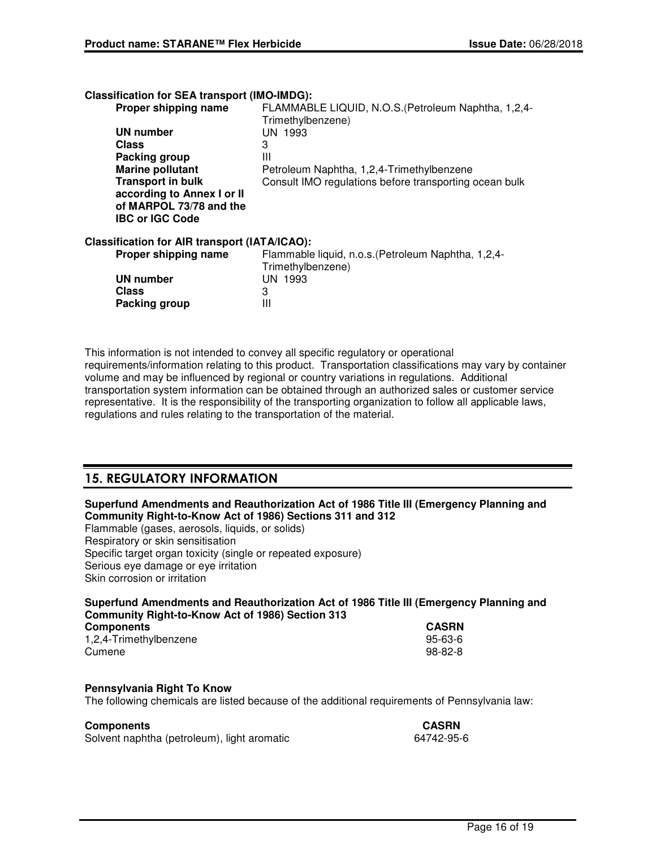**Classification for SEA transport (IMO-IMDG):**

| Proper shipping name                                 | FLAMMABLE LIQUID, N.O.S. (Petroleum Naphtha, 1,2,4-<br>Trimethylbenzene) |
|------------------------------------------------------|--------------------------------------------------------------------------|
| UN number                                            | UN 1993                                                                  |
| <b>Class</b>                                         | 3                                                                        |
| Packing group                                        | Ш                                                                        |
| <b>Marine pollutant</b>                              | Petroleum Naphtha, 1,2,4-Trimethylbenzene                                |
| <b>Transport in bulk</b>                             | Consult IMO regulations before transporting ocean bulk                   |
| according to Annex I or II                           |                                                                          |
| of MARPOL 73/78 and the                              |                                                                          |
| <b>IBC or IGC Code</b>                               |                                                                          |
| <b>Classification for AIR transport (IATA/ICAO):</b> |                                                                          |
| Proper shipping name                                 | Flammable liquid, n.o.s. (Petroleum Naphtha, 1,2,4-<br>Trimethylbenzene) |
| <b>UN number</b>                                     | UN 1993                                                                  |
| <b>Class</b>                                         | 3                                                                        |
| Packing group                                        | Ш                                                                        |
|                                                      |                                                                          |

This information is not intended to convey all specific regulatory or operational requirements/information relating to this product. Transportation classifications may vary by container volume and may be influenced by regional or country variations in regulations. Additional transportation system information can be obtained through an authorized sales or customer service representative. It is the responsibility of the transporting organization to follow all applicable laws, regulations and rules relating to the transportation of the material.

## **15. REGULATORY INFORMATION**

### **Superfund Amendments and Reauthorization Act of 1986 Title III (Emergency Planning and Community Right-to-Know Act of 1986) Sections 311 and 312**

Flammable (gases, aerosols, liquids, or solids) Respiratory or skin sensitisation Specific target organ toxicity (single or repeated exposure) Serious eye damage or eye irritation Skin corrosion or irritation

| Superfund Amendments and Reauthorization Act of 1986 Title III (Emergency Planning and |              |
|----------------------------------------------------------------------------------------|--------------|
| Community Right-to-Know Act of 1986) Section 313                                       |              |
| Componente                                                                             | <b>CACDN</b> |

| <b>Components</b>      | <b>CASRN</b> |
|------------------------|--------------|
| 1,2,4-Trimethylbenzene | 95-63-6      |
| Cumene                 | 98-82-8      |

### **Pennsylvania Right To Know**

The following chemicals are listed because of the additional requirements of Pennsylvania law:

### **Components CASRN**

| ---------------                             | --------   |
|---------------------------------------------|------------|
| Solvent naphtha (petroleum), light aromatic | 64742-95-6 |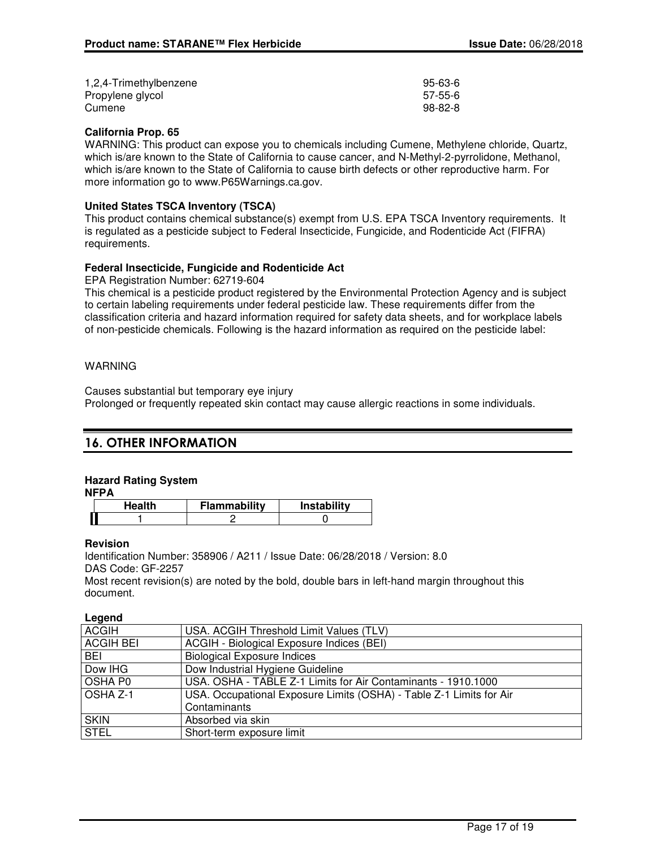| 1,2,4-Trimethylbenzene | $95 - 63 - 6$ |
|------------------------|---------------|
| Propylene glycol       | 57-55-6       |
| Cumene                 | 98-82-8       |

### **California Prop. 65**

WARNING: This product can expose you to chemicals including Cumene, Methylene chloride, Quartz, which is/are known to the State of California to cause cancer, and N-Methyl-2-pyrrolidone, Methanol, which is/are known to the State of California to cause birth defects or other reproductive harm. For more information go to www.P65Warnings.ca.gov.

### **United States TSCA Inventory (TSCA)**

This product contains chemical substance(s) exempt from U.S. EPA TSCA Inventory requirements. It is regulated as a pesticide subject to Federal Insecticide, Fungicide, and Rodenticide Act (FIFRA) requirements.

### **Federal Insecticide, Fungicide and Rodenticide Act**

EPA Registration Number: 62719-604

This chemical is a pesticide product registered by the Environmental Protection Agency and is subject to certain labeling requirements under federal pesticide law. These requirements differ from the classification criteria and hazard information required for safety data sheets, and for workplace labels of non-pesticide chemicals. Following is the hazard information as required on the pesticide label:

### WARNING

Causes substantial but temporary eye injury Prolonged or frequently repeated skin contact may cause allergic reactions in some individuals.

## **16. OTHER INFORMATION**

### **Hazard Rating System**

**NFPA**

| Health | <b>Flammability</b> | Instability |
|--------|---------------------|-------------|
|        |                     |             |

### **Revision**

Identification Number: 358906 / A211 / Issue Date: 06/28/2018 / Version: 8.0 DAS Code: GF-2257

Most recent revision(s) are noted by the bold, double bars in left-hand margin throughout this document.

### **Legend**

| <b>ACGIH</b>        | USA. ACGIH Threshold Limit Values (TLV)                             |
|---------------------|---------------------------------------------------------------------|
| <b>ACGIH BEI</b>    | ACGIH - Biological Exposure Indices (BEI)                           |
| BEI                 | <b>Biological Exposure Indices</b>                                  |
| Dow IHG             | Dow Industrial Hygiene Guideline                                    |
| OSHA P0             | USA. OSHA - TABLE Z-1 Limits for Air Contaminants - 1910.1000       |
| OSHA <sub>Z-1</sub> | USA. Occupational Exposure Limits (OSHA) - Table Z-1 Limits for Air |
|                     | Contaminants                                                        |
| <b>SKIN</b>         | Absorbed via skin                                                   |
| $ $ STEL            | Short-term exposure limit                                           |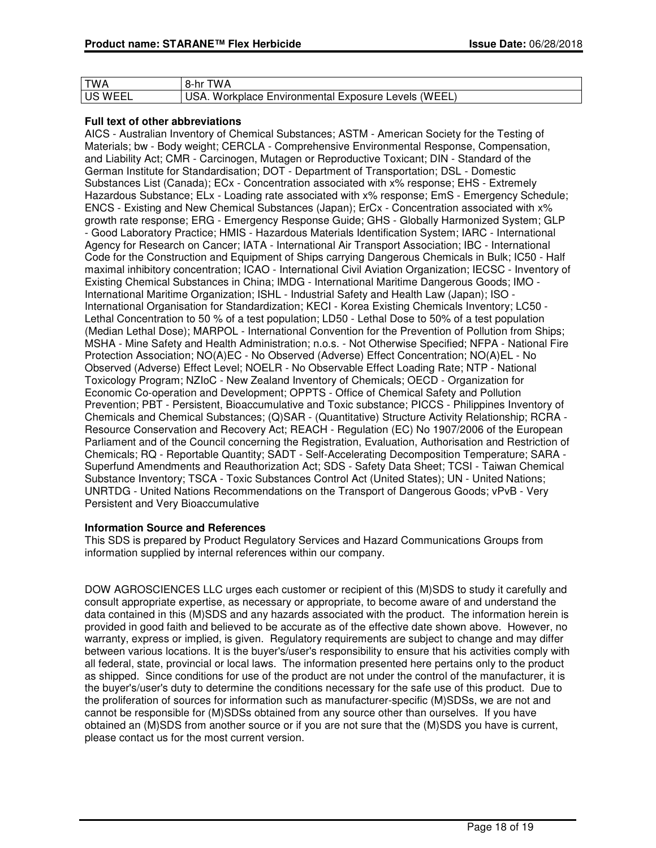| <b>TWA</b>     | 8-hr TWA                                            |
|----------------|-----------------------------------------------------|
| <b>US WEEL</b> | USA. Workplace Environmental Exposure Levels (WEEL) |

### **Full text of other abbreviations**

AICS - Australian Inventory of Chemical Substances; ASTM - American Society for the Testing of Materials; bw - Body weight; CERCLA - Comprehensive Environmental Response, Compensation, and Liability Act; CMR - Carcinogen, Mutagen or Reproductive Toxicant; DIN - Standard of the German Institute for Standardisation; DOT - Department of Transportation; DSL - Domestic Substances List (Canada); ECx - Concentration associated with x% response; EHS - Extremely Hazardous Substance; ELx - Loading rate associated with x% response; EmS - Emergency Schedule; ENCS - Existing and New Chemical Substances (Japan); ErCx - Concentration associated with x% growth rate response; ERG - Emergency Response Guide; GHS - Globally Harmonized System; GLP - Good Laboratory Practice; HMIS - Hazardous Materials Identification System; IARC - International Agency for Research on Cancer; IATA - International Air Transport Association; IBC - International Code for the Construction and Equipment of Ships carrying Dangerous Chemicals in Bulk; IC50 - Half maximal inhibitory concentration; ICAO - International Civil Aviation Organization; IECSC - Inventory of Existing Chemical Substances in China; IMDG - International Maritime Dangerous Goods; IMO - International Maritime Organization; ISHL - Industrial Safety and Health Law (Japan); ISO - International Organisation for Standardization; KECI - Korea Existing Chemicals Inventory; LC50 - Lethal Concentration to 50 % of a test population; LD50 - Lethal Dose to 50% of a test population (Median Lethal Dose); MARPOL - International Convention for the Prevention of Pollution from Ships; MSHA - Mine Safety and Health Administration; n.o.s. - Not Otherwise Specified; NFPA - National Fire Protection Association; NO(A)EC - No Observed (Adverse) Effect Concentration; NO(A)EL - No Observed (Adverse) Effect Level; NOELR - No Observable Effect Loading Rate; NTP - National Toxicology Program; NZIoC - New Zealand Inventory of Chemicals; OECD - Organization for Economic Co-operation and Development; OPPTS - Office of Chemical Safety and Pollution Prevention; PBT - Persistent, Bioaccumulative and Toxic substance; PICCS - Philippines Inventory of Chemicals and Chemical Substances; (Q)SAR - (Quantitative) Structure Activity Relationship; RCRA - Resource Conservation and Recovery Act; REACH - Regulation (EC) No 1907/2006 of the European Parliament and of the Council concerning the Registration, Evaluation, Authorisation and Restriction of Chemicals; RQ - Reportable Quantity; SADT - Self-Accelerating Decomposition Temperature; SARA - Superfund Amendments and Reauthorization Act; SDS - Safety Data Sheet; TCSI - Taiwan Chemical Substance Inventory; TSCA - Toxic Substances Control Act (United States); UN - United Nations; UNRTDG - United Nations Recommendations on the Transport of Dangerous Goods; vPvB - Very Persistent and Very Bioaccumulative

### **Information Source and References**

This SDS is prepared by Product Regulatory Services and Hazard Communications Groups from information supplied by internal references within our company.

DOW AGROSCIENCES LLC urges each customer or recipient of this (M)SDS to study it carefully and consult appropriate expertise, as necessary or appropriate, to become aware of and understand the data contained in this (M)SDS and any hazards associated with the product. The information herein is provided in good faith and believed to be accurate as of the effective date shown above. However, no warranty, express or implied, is given. Regulatory requirements are subject to change and may differ between various locations. It is the buyer's/user's responsibility to ensure that his activities comply with all federal, state, provincial or local laws. The information presented here pertains only to the product as shipped. Since conditions for use of the product are not under the control of the manufacturer, it is the buyer's/user's duty to determine the conditions necessary for the safe use of this product. Due to the proliferation of sources for information such as manufacturer-specific (M)SDSs, we are not and cannot be responsible for (M)SDSs obtained from any source other than ourselves. If you have obtained an (M)SDS from another source or if you are not sure that the (M)SDS you have is current, please contact us for the most current version.